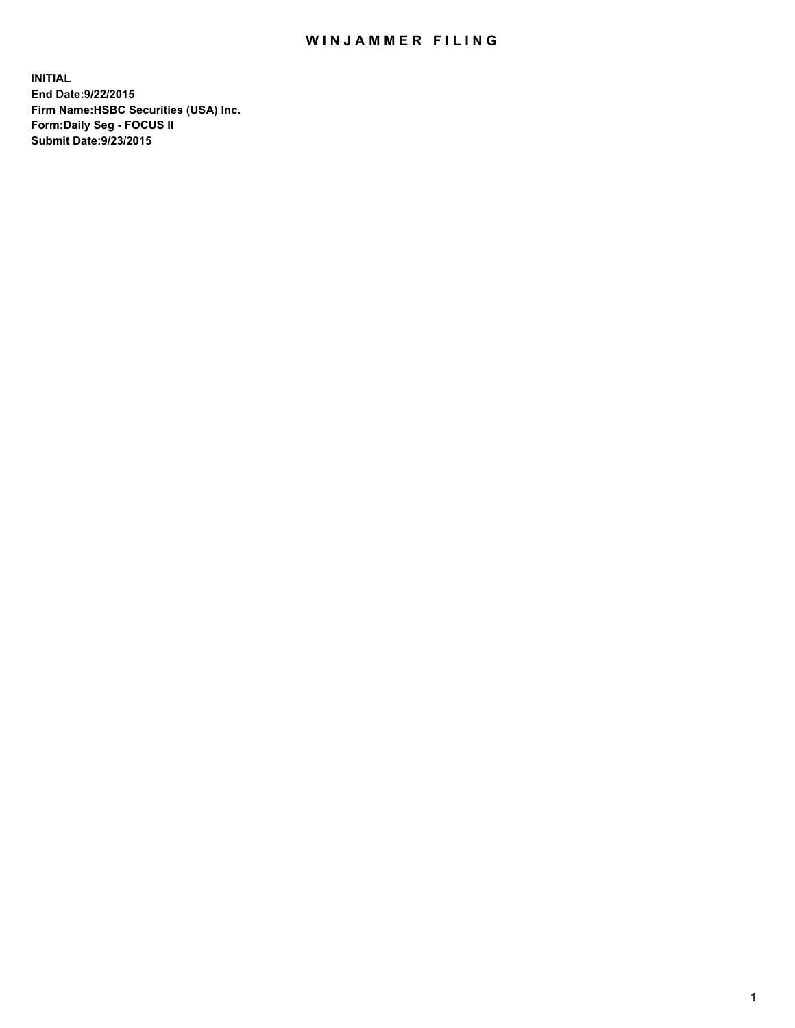## WIN JAMMER FILING

**INITIAL End Date:9/22/2015 Firm Name:HSBC Securities (USA) Inc. Form:Daily Seg - FOCUS II Submit Date:9/23/2015**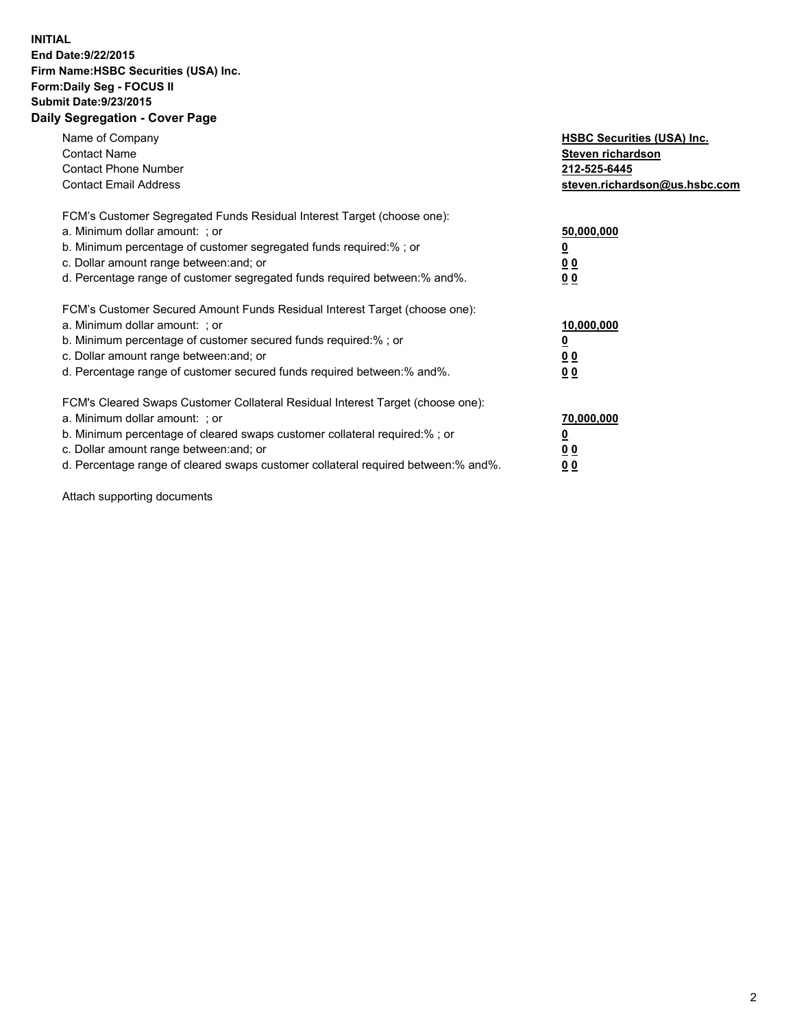## **INITIAL End Date:9/22/2015 Firm Name:HSBC Securities (USA) Inc. Form:Daily Seg - FOCUS II Submit Date:9/23/2015 Daily Segregation - Cover Page**

| Name of Company<br><b>Contact Name</b><br><b>Contact Phone Number</b><br><b>Contact Email Address</b>                                                                                                                                                                                                                          | <b>HSBC Securities (USA) Inc.</b><br>Steven richardson<br>212-525-6445<br>steven.richardson@us.hsbc.com |
|--------------------------------------------------------------------------------------------------------------------------------------------------------------------------------------------------------------------------------------------------------------------------------------------------------------------------------|---------------------------------------------------------------------------------------------------------|
| FCM's Customer Segregated Funds Residual Interest Target (choose one):<br>a. Minimum dollar amount: ; or<br>b. Minimum percentage of customer segregated funds required:%; or<br>c. Dollar amount range between: and; or<br>d. Percentage range of customer segregated funds required between: % and %.                        | 50,000,000<br>0 <sub>0</sub><br>0 <sub>0</sub>                                                          |
| FCM's Customer Secured Amount Funds Residual Interest Target (choose one):<br>a. Minimum dollar amount: ; or<br>b. Minimum percentage of customer secured funds required:%; or<br>c. Dollar amount range between: and; or<br>d. Percentage range of customer secured funds required between:% and%.                            | 10,000,000<br><u>0</u><br>0 <sub>0</sub><br>0 <sub>0</sub>                                              |
| FCM's Cleared Swaps Customer Collateral Residual Interest Target (choose one):<br>a. Minimum dollar amount: ; or<br>b. Minimum percentage of cleared swaps customer collateral required:% ; or<br>c. Dollar amount range between: and; or<br>d. Percentage range of cleared swaps customer collateral required between:% and%. | 70,000,000<br>00<br><u>00</u>                                                                           |

Attach supporting documents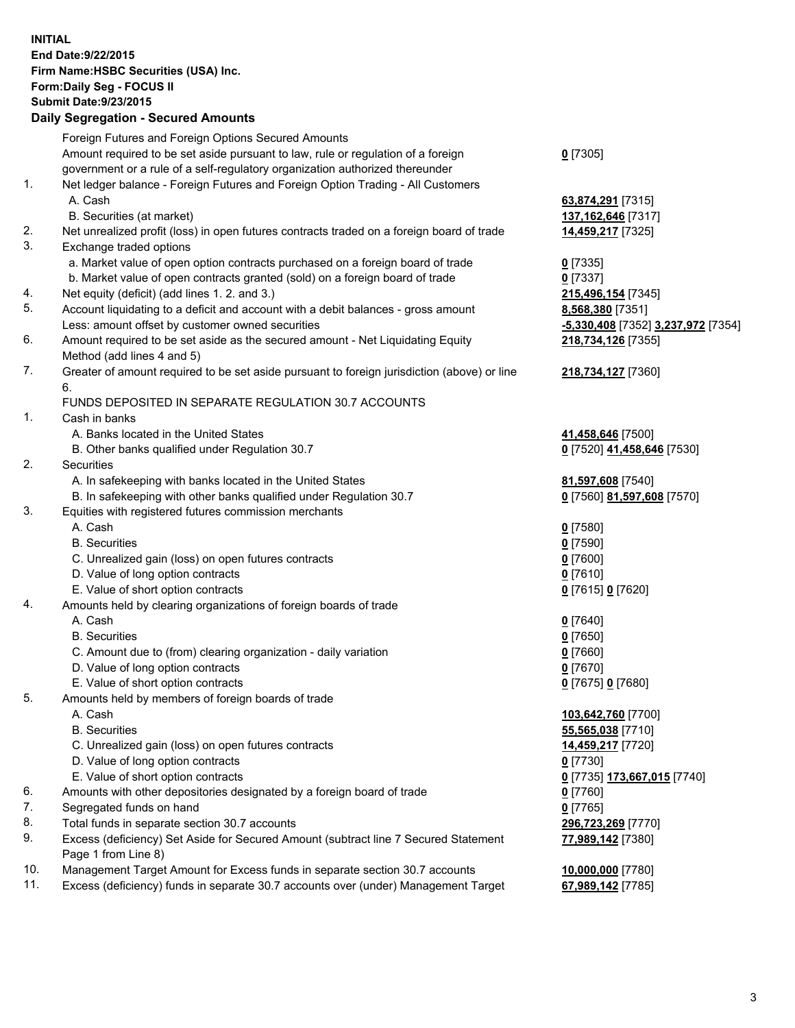**INITIAL End Date:9/22/2015 Firm Name:HSBC Securities (USA) Inc. Form:Daily Seg - FOCUS II Submit Date:9/23/2015 Daily Segregation - Secured Amounts**

Foreign Futures and Foreign Options Secured Amounts Amount required to be set aside pursuant to law, rule or regulation of a foreign government or a rule of a self-regulatory organization authorized thereunder **0** [7305] 1. Net ledger balance - Foreign Futures and Foreign Option Trading - All Customers A. Cash **63,874,291** [7315] B. Securities (at market) **137,162,646** [7317] 2. Net unrealized profit (loss) in open futures contracts traded on a foreign board of trade **14,459,217** [7325] 3. Exchange traded options a. Market value of open option contracts purchased on a foreign board of trade **0** [7335] b. Market value of open contracts granted (sold) on a foreign board of trade **0** [7337] 4. Net equity (deficit) (add lines 1. 2. and 3.) **215,496,154** [7345] 5. Account liquidating to a deficit and account with a debit balances - gross amount **8,568,380** [7351] Less: amount offset by customer owned securities **-5,330,408** [7352] **3,237,972** [7354] 6. Amount required to be set aside as the secured amount - Net Liquidating Equity Method (add lines 4 and 5) **218,734,126** [7355] 7. Greater of amount required to be set aside pursuant to foreign jurisdiction (above) or line 6. **218,734,127** [7360] FUNDS DEPOSITED IN SEPARATE REGULATION 30.7 ACCOUNTS 1. Cash in banks A. Banks located in the United States **41,458,646** [7500] B. Other banks qualified under Regulation 30.7 **0** [7520] **41,458,646** [7530] 2. Securities A. In safekeeping with banks located in the United States **81,597,608** [7540] B. In safekeeping with other banks qualified under Regulation 30.7 **0** [7560] **81,597,608** [7570] 3. Equities with registered futures commission merchants A. Cash **0** [7580] B. Securities **0** [7590] C. Unrealized gain (loss) on open futures contracts **0** [7600] D. Value of long option contracts **0** [7610] E. Value of short option contracts **0** [7615] **0** [7620] 4. Amounts held by clearing organizations of foreign boards of trade A. Cash **0** [7640] B. Securities **0** [7650] C. Amount due to (from) clearing organization - daily variation **0** [7660] D. Value of long option contracts **0** [7670] E. Value of short option contracts **0** [7675] **0** [7680] 5. Amounts held by members of foreign boards of trade A. Cash **103,642,760** [7700] B. Securities **55,565,038** [7710] C. Unrealized gain (loss) on open futures contracts **14,459,217** [7720] D. Value of long option contracts **0** [7730] E. Value of short option contracts **0** [7735] **173,667,015** [7740] 6. Amounts with other depositories designated by a foreign board of trade **0** [7760] 7. Segregated funds on hand **0** [7765] 8. Total funds in separate section 30.7 accounts **296,723,269** [7770] 9. Excess (deficiency) Set Aside for Secured Amount (subtract line 7 Secured Statement Page 1 from Line 8) **77,989,142** [7380] 10. Management Target Amount for Excess funds in separate section 30.7 accounts **10,000,000** [7780] 11. Excess (deficiency) funds in separate 30.7 accounts over (under) Management Target **67,989,142** [7785]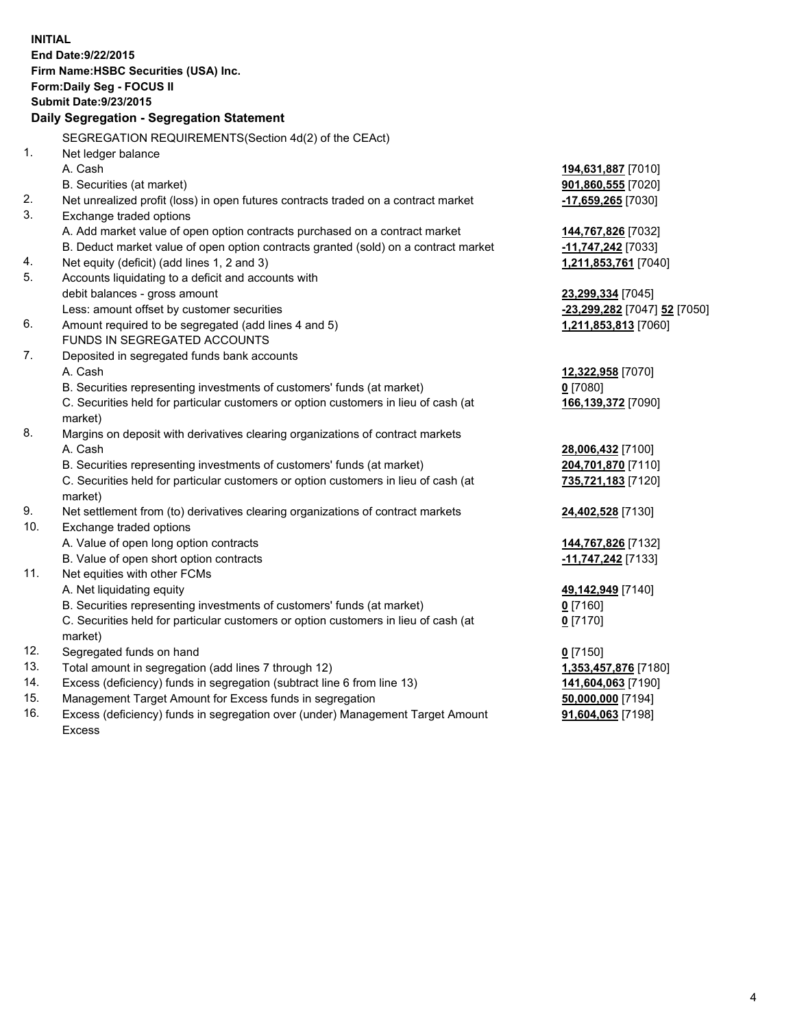| <b>INITIAL</b>                            | End Date: 9/22/2015                                                                            |                               |  |  |
|-------------------------------------------|------------------------------------------------------------------------------------------------|-------------------------------|--|--|
| Firm Name: HSBC Securities (USA) Inc.     |                                                                                                |                               |  |  |
| Form: Daily Seg - FOCUS II                |                                                                                                |                               |  |  |
|                                           | <b>Submit Date: 9/23/2015</b>                                                                  |                               |  |  |
| Daily Segregation - Segregation Statement |                                                                                                |                               |  |  |
|                                           |                                                                                                |                               |  |  |
|                                           | SEGREGATION REQUIREMENTS(Section 4d(2) of the CEAct)                                           |                               |  |  |
| 1.                                        | Net ledger balance                                                                             |                               |  |  |
|                                           | A. Cash                                                                                        | 194,631,887 [7010]            |  |  |
|                                           | B. Securities (at market)                                                                      | 901,860,555 [7020]            |  |  |
| 2.                                        | Net unrealized profit (loss) in open futures contracts traded on a contract market             | $-17,659,265$ [7030]          |  |  |
| 3.                                        | Exchange traded options                                                                        |                               |  |  |
|                                           | A. Add market value of open option contracts purchased on a contract market                    | 144,767,826 [7032]            |  |  |
|                                           | B. Deduct market value of open option contracts granted (sold) on a contract market            | 11,747,242 [7033]             |  |  |
| 4.                                        | Net equity (deficit) (add lines 1, 2 and 3)                                                    | 1,211,853,761 [7040]          |  |  |
| 5.                                        | Accounts liquidating to a deficit and accounts with                                            |                               |  |  |
|                                           | debit balances - gross amount                                                                  | 23,299,334 [7045]             |  |  |
|                                           | Less: amount offset by customer securities                                                     | -23,299,282 [7047] 52 [7050]  |  |  |
| 6.                                        | Amount required to be segregated (add lines 4 and 5)                                           | 1,211,853,813 [7060]          |  |  |
|                                           | FUNDS IN SEGREGATED ACCOUNTS                                                                   |                               |  |  |
| 7.                                        | Deposited in segregated funds bank accounts                                                    |                               |  |  |
|                                           | A. Cash                                                                                        | 12,322,958 [7070]             |  |  |
|                                           | B. Securities representing investments of customers' funds (at market)                         | $0$ [7080]                    |  |  |
|                                           | C. Securities held for particular customers or option customers in lieu of cash (at            | 166,139,372 [7090]            |  |  |
|                                           | market)                                                                                        |                               |  |  |
| 8.                                        | Margins on deposit with derivatives clearing organizations of contract markets                 |                               |  |  |
|                                           | A. Cash                                                                                        | 28,006,432 [7100]             |  |  |
|                                           | B. Securities representing investments of customers' funds (at market)                         | 204,701,870 [7110]            |  |  |
|                                           | C. Securities held for particular customers or option customers in lieu of cash (at<br>market) | 735,721,183 [7120]            |  |  |
| 9.                                        | Net settlement from (to) derivatives clearing organizations of contract markets                | 24,402,528 [7130]             |  |  |
| 10.                                       | Exchange traded options                                                                        |                               |  |  |
|                                           | A. Value of open long option contracts                                                         | 144,767,826 [7132]            |  |  |
|                                           | B. Value of open short option contracts                                                        | -11,747,242 <sub>[7133]</sub> |  |  |
| 11.                                       | Net equities with other FCMs                                                                   |                               |  |  |
|                                           | A. Net liquidating equity                                                                      | 49,142,949 [7140]             |  |  |
|                                           | B. Securities representing investments of customers' funds (at market)                         | <u>0</u> [7160]               |  |  |
|                                           | C. Securities held for particular customers or option customers in lieu of cash (at            | $0$ [7170]                    |  |  |
|                                           | market)                                                                                        |                               |  |  |
| 12.                                       | Segregated funds on hand                                                                       | $0$ [7150]                    |  |  |
| 13.                                       | Total amount in segregation (add lines 7 through 12)                                           | 1,353,457,876 [7180]          |  |  |
| 14.                                       | Excess (deficiency) funds in segregation (subtract line 6 from line 13)                        | 141,604,063 [7190]            |  |  |
| 15.                                       | Management Target Amount for Excess funds in segregation                                       | 50,000,000 [7194]             |  |  |
| 16.                                       | Excess (deficiency) funds in segregation over (under) Management Target Amount                 | 91,604,063 [7198]             |  |  |

16. Excess (deficiency) funds in segregation over (under) Management Target Amount Excess